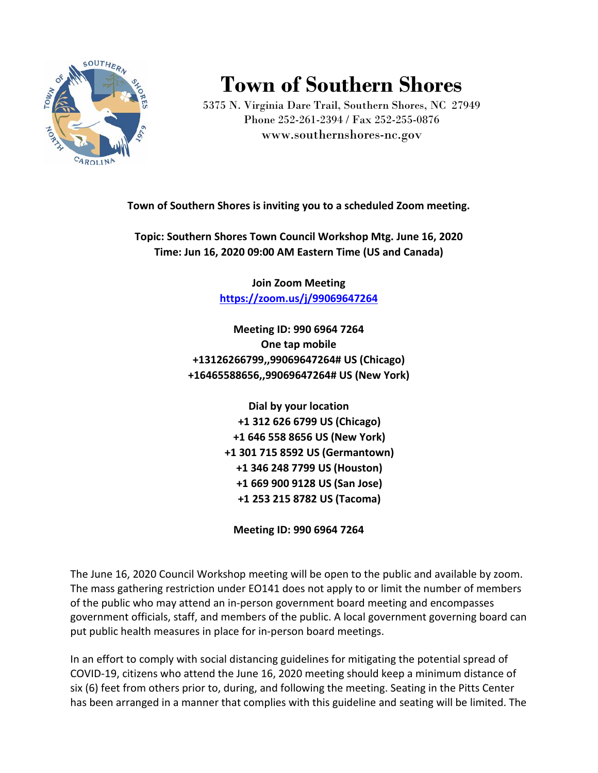

## **Town of Southern Shores**

5375 N. Virginia Dare Trail, Southern Shores, NC 27949 Phone 252-261-2394 / Fax 252-255-0876 www.southernshores-nc.gov

**Town of Southern Shores is inviting you to a scheduled Zoom meeting.**

**Topic: Southern Shores Town Council Workshop Mtg. June 16, 2020 Time: Jun 16, 2020 09:00 AM Eastern Time (US and Canada)**

> **Join Zoom Meeting <https://zoom.us/j/99069647264>**

**Meeting ID: 990 6964 7264 One tap mobile +13126266799,,99069647264# US (Chicago) +16465588656,,99069647264# US (New York)**

> **Dial by your location +1 312 626 6799 US (Chicago) +1 646 558 8656 US (New York) +1 301 715 8592 US (Germantown) +1 346 248 7799 US (Houston) +1 669 900 9128 US (San Jose) +1 253 215 8782 US (Tacoma)**

**Meeting ID: 990 6964 7264**

The June 16, 2020 Council Workshop meeting will be open to the public and available by zoom. The mass gathering restriction under EO141 does not apply to or limit the number of members of the public who may attend an in-person government board meeting and encompasses government officials, staff, and members of the public. A local government governing board can put public health measures in place for in-person board meetings.

In an effort to comply with social distancing guidelines for mitigating the potential spread of COVID-19, citizens who attend the June 16, 2020 meeting should keep a minimum distance of six (6) feet from others prior to, during, and following the meeting. Seating in the Pitts Center has been arranged in a manner that complies with this guideline and seating will be limited. The